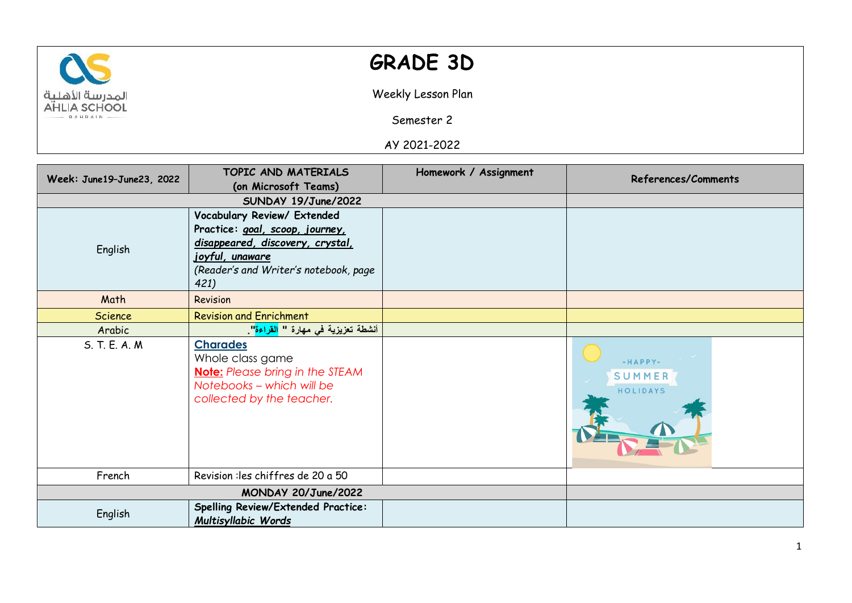

## **GRADE 3D**

Weekly Lesson Plan

Semester 2

AY 2021-2022

| Week: June19-June23, 2022 | TOPIC AND MATERIALS                              | Homework / Assignment | <b>References/Comments</b> |
|---------------------------|--------------------------------------------------|-----------------------|----------------------------|
|                           | (on Microsoft Teams)                             |                       |                            |
|                           | SUNDAY 19/June/2022                              |                       |                            |
|                           | Vocabulary Review/ Extended                      |                       |                            |
| English                   | Practice: goal, scoop, journey,                  |                       |                            |
|                           | disappeared, discovery, crystal,                 |                       |                            |
|                           | <u>joyful, unaware</u>                           |                       |                            |
|                           | (Reader's and Writer's notebook, page            |                       |                            |
|                           | 421)                                             |                       |                            |
| Math                      | Revision                                         |                       |                            |
| <b>Science</b>            | <b>Revision and Enrichment</b>                   |                       |                            |
| Arabic                    | أنشطة تعزيزية في مهارة " <mark>القراءة</mark> ". |                       |                            |
| S. T. E. A. M.            | <b>Charades</b>                                  |                       |                            |
|                           | Whole class game                                 |                       | $-HAPPY-$                  |
|                           | <b>Note:</b> Please bring in the STEAM           |                       | SUMMER                     |
|                           | Notebooks - which will be                        |                       | HOLIDAYS                   |
|                           | collected by the teacher.                        |                       |                            |
|                           |                                                  |                       |                            |
|                           |                                                  |                       |                            |
|                           |                                                  |                       |                            |
|                           |                                                  |                       |                            |
| French                    | Revision : les chiffres de 20 a 50               |                       |                            |
|                           |                                                  |                       |                            |
| English                   | <b>Spelling Review/Extended Practice:</b>        |                       |                            |
|                           | Multisyllabic Words                              |                       |                            |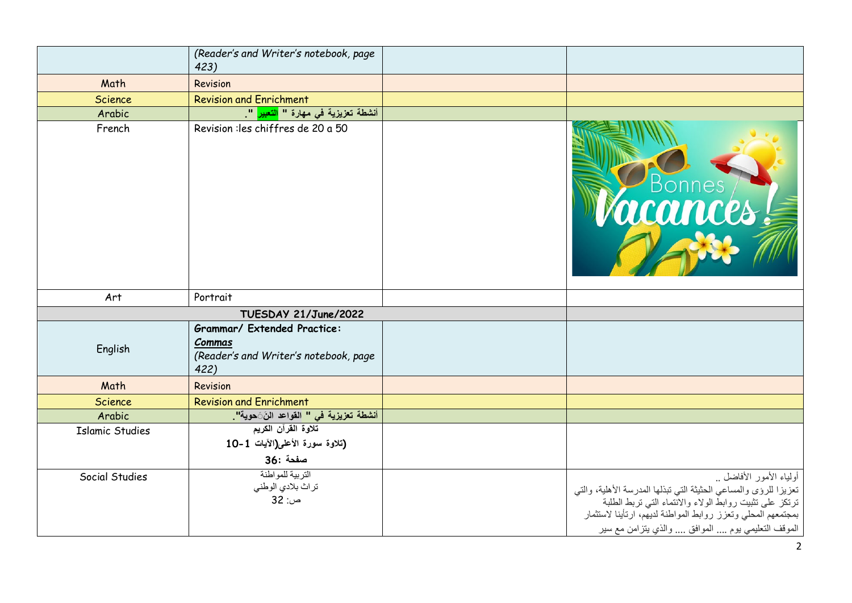|                        | (Reader's and Writer's notebook, page<br>423)                                                 |                                                                                                                                                                                                                                                                               |
|------------------------|-----------------------------------------------------------------------------------------------|-------------------------------------------------------------------------------------------------------------------------------------------------------------------------------------------------------------------------------------------------------------------------------|
| Math                   | Revision                                                                                      |                                                                                                                                                                                                                                                                               |
| <b>Science</b>         | <b>Revision and Enrichment</b>                                                                |                                                                                                                                                                                                                                                                               |
| Arabic                 | أنشطة تعزيزية في مهارة " <mark>التعبير</mark> ".                                              |                                                                                                                                                                                                                                                                               |
| French                 | Revision : les chiffres de 20 a 50                                                            | Bonnes                                                                                                                                                                                                                                                                        |
| Art                    | Portrait                                                                                      |                                                                                                                                                                                                                                                                               |
|                        | TUESDAY 21/June/2022                                                                          |                                                                                                                                                                                                                                                                               |
| English                | <b>Grammar/ Extended Practice:</b><br>Commas<br>(Reader's and Writer's notebook, page<br>422) |                                                                                                                                                                                                                                                                               |
| Math                   | Revision                                                                                      |                                                                                                                                                                                                                                                                               |
| Science                | <b>Revision and Enrichment</b>                                                                |                                                                                                                                                                                                                                                                               |
| Arabic                 | أنشطة تعزيزية في " القواعد النَ <b>َ</b> حوية" <mark>.</mark>                                 |                                                                                                                                                                                                                                                                               |
| <b>Islamic Studies</b> | تلاوة القرآن الكريم<br>(تلاوة سورة الأعلى(الآيات 1-10<br>صفحة :36                             |                                                                                                                                                                                                                                                                               |
| Social Studies         | التربية للمواطنة<br>تراث بلادي الوطني<br>ص: 32                                                | أولياء الأمور الأفاضل<br>تعزيزا للرؤى والمساعي الحثيثة التي نبذلها المدرسة الأهلية، والتي<br>ترتكز على تثبيت روابطُّ الولاء والاُنْتماء التي تربط الطلبة<br>بمجتمعهم المحلي وتعزز روابط المواطنة لديهم، ارتأينا لاستثمار<br>الموقف التعليمي يوم  الموافق  والذي يتزامن مع سير |